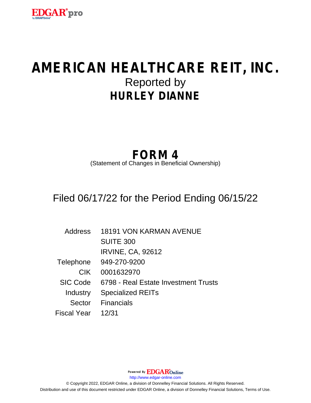

# **AMERICAN HEALTHCARE REIT, INC.** Reported by **HURLEY DIANNE**

## **FORM 4**

(Statement of Changes in Beneficial Ownership)

### Filed 06/17/22 for the Period Ending 06/15/22

| Address         | <b>18191 VON KARMAN AVENUE</b>       |
|-----------------|--------------------------------------|
|                 | <b>SUITE 300</b>                     |
|                 | <b>IRVINE, CA, 92612</b>             |
| Telephone       | 949-270-9200                         |
| <b>CIK</b>      | 0001632970                           |
| <b>SIC Code</b> | 6798 - Real Estate Investment Trusts |
| Industry        | <b>Specialized REITs</b>             |
|                 | Sector Financials                    |
| Fiscal Year     | 12/31                                |

Powered By **EDGAR**Online http://www.edgar-online.com © Copyright 2022, EDGAR Online, a division of Donnelley Financial Solutions. All Rights Reserved. Distribution and use of this document restricted under EDGAR Online, a division of Donnelley Financial Solutions, Terms of Use.